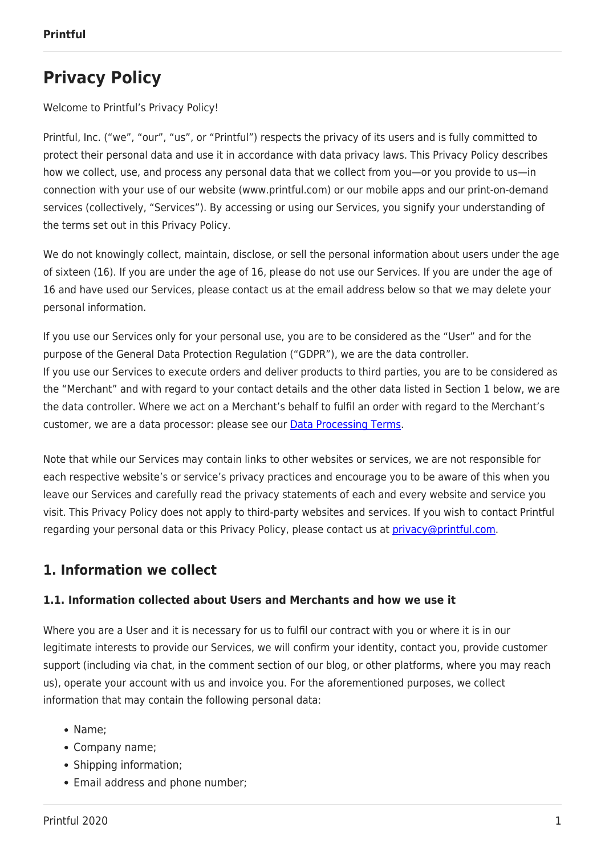# **Privacy Policy**

Welcome to Printful's Privacy Policy!

Printful, Inc. ("we", "our", "us", or "Printful") respects the privacy of its users and is fully committed to protect their personal data and use it in accordance with data privacy laws. This Privacy Policy describes how we collect, use, and process any personal data that we collect from you—or you provide to us—in connection with your use of our website (www.printful.com) or our mobile apps and our print-on-demand services (collectively, "Services"). By accessing or using our Services, you signify your understanding of the terms set out in this Privacy Policy.

We do not knowingly collect, maintain, disclose, or sell the personal information about users under the age of sixteen (16). If you are under the age of 16, please do not use our Services. If you are under the age of 16 and have used our Services, please contact us at the email address below so that we may delete your personal information.

If you use our Services only for your personal use, you are to be considered as the "User" and for the purpose of the General Data Protection Regulation ("GDPR"), we are the data controller. If you use our Services to execute orders and deliver products to third parties, you are to be considered as the "Merchant" and with regard to your contact details and the other data listed in Section 1 below, we are the data controller. Where we act on a Merchant's behalf to fulfil an order with regard to the Merchant's customer, we are a data processor: please see our [Data Processing Terms.](https://www.printful.com/policies/data-processing-terms)

Note that while our Services may contain links to other websites or services, we are not responsible for each respective website's or service's privacy practices and encourage you to be aware of this when you leave our Services and carefully read the privacy statements of each and every website and service you visit. This Privacy Policy does not apply to third-party websites and services. If you wish to contact Printful regarding your personal data or this Privacy Policy, please contact us at [privacy@printful.com.](mailto:privacy@printful.com)

# **1. Information we collect**

#### **1.1. Information collected about Users and Merchants and how we use it**

Where you are a User and it is necessary for us to fulfil our contract with you or where it is in our legitimate interests to provide our Services, we will confirm your identity, contact you, provide customer support (including via chat, in the comment section of our blog, or other platforms, where you may reach us), operate your account with us and invoice you. For the aforementioned purposes, we collect information that may contain the following personal data:

- Name:
- Company name;
- Shipping information;
- Email address and phone number;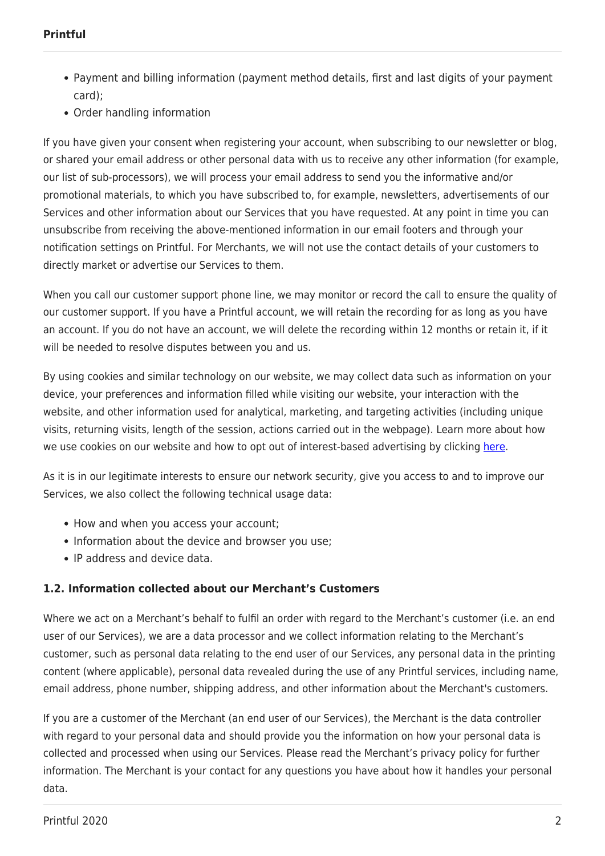- Payment and billing information (payment method details, first and last digits of your payment card);
- Order handling information

If you have given your consent when registering your account, when subscribing to our newsletter or blog, or shared your email address or other personal data with us to receive any other information (for example, our list of sub-processors), we will process your email address to send you the informative and/or promotional materials, to which you have subscribed to, for example, newsletters, advertisements of our Services and other information about our Services that you have requested. At any point in time you can unsubscribe from receiving the above-mentioned information in our email footers and through your notification settings on Printful. For Merchants, we will not use the contact details of your customers to directly market or advertise our Services to them.

When you call our customer support phone line, we may monitor or record the call to ensure the quality of our customer support. If you have a Printful account, we will retain the recording for as long as you have an account. If you do not have an account, we will delete the recording within 12 months or retain it, if it will be needed to resolve disputes between you and us.

By using cookies and similar technology on our website, we may collect data such as information on your device, your preferences and information filled while visiting our website, your interaction with the website, and other information used for analytical, marketing, and targeting activities (including unique visits, returning visits, length of the session, actions carried out in the webpage). Learn more about how we use cookies on our website and how to opt out of interest-based advertising by clicking [here](https://www.printful.com/policies/cookies).

As it is in our legitimate interests to ensure our network security, give you access to and to improve our Services, we also collect the following technical usage data:

- How and when you access your account;
- Information about the device and browser you use;
- IP address and device data.

#### **1.2. Information collected about our Merchant's Customers**

Where we act on a Merchant's behalf to fulfil an order with regard to the Merchant's customer (i.e. an end user of our Services), we are a data processor and we collect information relating to the Merchant's customer, such as personal data relating to the end user of our Services, any personal data in the printing content (where applicable), personal data revealed during the use of any Printful services, including name, email address, phone number, shipping address, and other information about the Merchant's customers.

If you are a customer of the Merchant (an end user of our Services), the Merchant is the data controller with regard to your personal data and should provide you the information on how your personal data is collected and processed when using our Services. Please read the Merchant's privacy policy for further information. The Merchant is your contact for any questions you have about how it handles your personal data.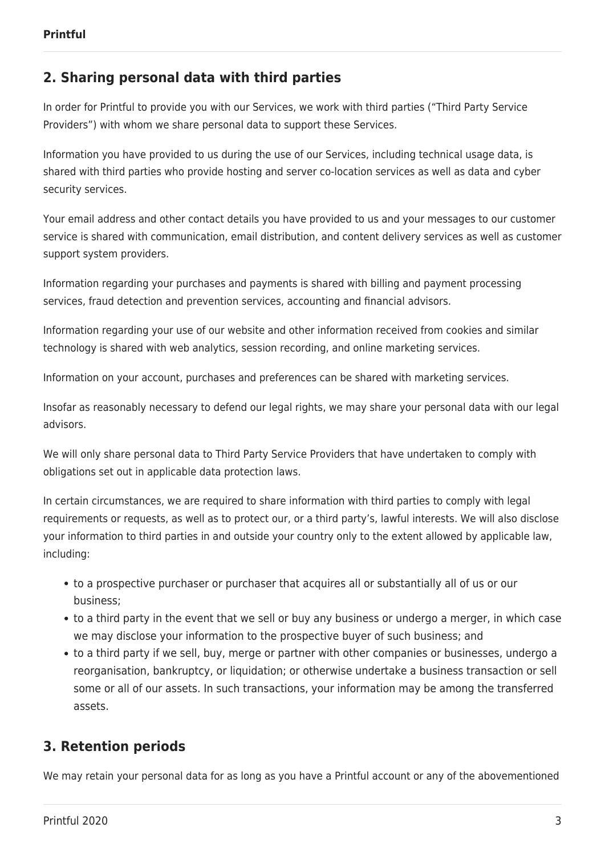## **2. Sharing personal data with third parties**

In order for Printful to provide you with our Services, we work with third parties ("Third Party Service Providers") with whom we share personal data to support these Services.

Information you have provided to us during the use of our Services, including technical usage data, is shared with third parties who provide hosting and server co-location services as well as data and cyber security services.

Your email address and other contact details you have provided to us and your messages to our customer service is shared with communication, email distribution, and content delivery services as well as customer support system providers.

Information regarding your purchases and payments is shared with billing and payment processing services, fraud detection and prevention services, accounting and financial advisors.

Information regarding your use of our website and other information received from cookies and similar technology is shared with web analytics, session recording, and online marketing services.

Information on your account, purchases and preferences can be shared with marketing services.

Insofar as reasonably necessary to defend our legal rights, we may share your personal data with our legal advisors.

We will only share personal data to Third Party Service Providers that have undertaken to comply with obligations set out in applicable data protection laws.

In certain circumstances, we are required to share information with third parties to comply with legal requirements or requests, as well as to protect our, or a third party's, lawful interests. We will also disclose your information to third parties in and outside your country only to the extent allowed by applicable law, including:

- to a prospective purchaser or purchaser that acquires all or substantially all of us or our business;
- to a third party in the event that we sell or buy any business or undergo a merger, in which case we may disclose your information to the prospective buyer of such business; and
- to a third party if we sell, buy, merge or partner with other companies or businesses, undergo a reorganisation, bankruptcy, or liquidation; or otherwise undertake a business transaction or sell some or all of our assets. In such transactions, your information may be among the transferred assets.

#### **3. Retention periods**

We may retain your personal data for as long as you have a Printful account or any of the abovementioned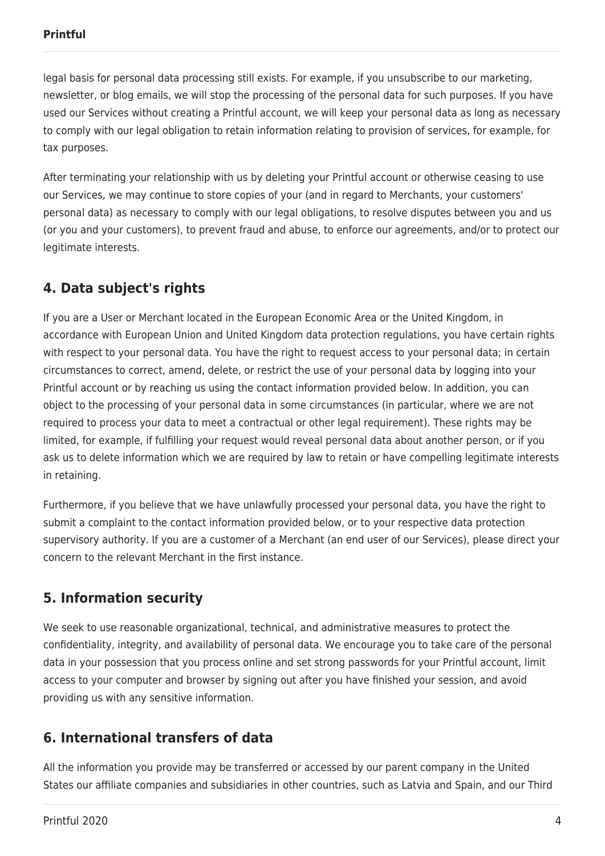legal basis for personal data processing still exists. For example, if you unsubscribe to our marketing, newsletter, or blog emails, we will stop the processing of the personal data for such purposes. If you have used our Services without creating a Printful account, we will keep your personal data as long as necessary to comply with our legal obligation to retain information relating to provision of services, for example, for tax purposes.

After terminating your relationship with us by deleting your Printful account or otherwise ceasing to use our Services, we may continue to store copies of your (and in regard to Merchants, your customers' personal data) as necessary to comply with our legal obligations, to resolve disputes between you and us (or you and your customers), to prevent fraud and abuse, to enforce our agreements, and/or to protect our legitimate interests.

# **4. Data subject's rights**

If you are a User or Merchant located in the European Economic Area or the United Kingdom, in accordance with European Union and United Kingdom data protection regulations, you have certain rights with respect to your personal data. You have the right to request access to your personal data; in certain circumstances to correct, amend, delete, or restrict the use of your personal data by logging into your Printful account or by reaching us using the contact information provided below. In addition, you can object to the processing of your personal data in some circumstances (in particular, where we are not required to process your data to meet a contractual or other legal requirement). These rights may be limited, for example, if fulfilling your request would reveal personal data about another person, or if you ask us to delete information which we are required by law to retain or have compelling legitimate interests in retaining.

Furthermore, if you believe that we have unlawfully processed your personal data, you have the right to submit a complaint to the contact information provided below, or to your respective data protection supervisory authority. If you are a customer of a Merchant (an end user of our Services), please direct your concern to the relevant Merchant in the first instance.

#### **5. Information security**

We seek to use reasonable organizational, technical, and administrative measures to protect the confidentiality, integrity, and availability of personal data. We encourage you to take care of the personal data in your possession that you process online and set strong passwords for your Printful account, limit access to your computer and browser by signing out after you have finished your session, and avoid providing us with any sensitive information.

# **6. International transfers of data**

All the information you provide may be transferred or accessed by our parent company in the United States our affiliate companies and subsidiaries in other countries, such as Latvia and Spain, and our Third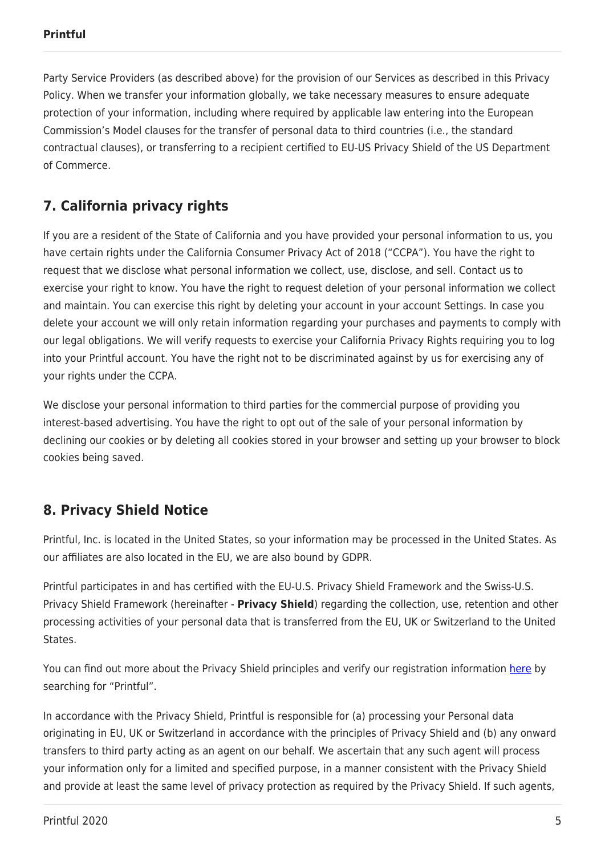Party Service Providers (as described above) for the provision of our Services as described in this Privacy Policy. When we transfer your information globally, we take necessary measures to ensure adequate protection of your information, including where required by applicable law entering into the European Commission's Model clauses for the transfer of personal data to third countries (i.e., the standard contractual clauses), or transferring to a recipient certified to EU-US Privacy Shield of the US Department of Commerce.

# **7. California privacy rights**

If you are a resident of the State of California and you have provided your personal information to us, you have certain rights under the California Consumer Privacy Act of 2018 ("CCPA"). You have the right to request that we disclose what personal information we collect, use, disclose, and sell. Contact us to exercise your right to know. You have the right to request deletion of your personal information we collect and maintain. You can exercise this right by deleting your account in your account Settings. In case you delete your account we will only retain information regarding your purchases and payments to comply with our legal obligations. We will verify requests to exercise your California Privacy Rights requiring you to log into your Printful account. You have the right not to be discriminated against by us for exercising any of your rights under the CCPA.

We disclose your personal information to third parties for the commercial purpose of providing you interest-based advertising. You have the right to opt out of the sale of your personal information by declining our cookies or by deleting all cookies stored in your browser and setting up your browser to block cookies being saved.

# **8. Privacy Shield Notice**

Printful, Inc. is located in the United States, so your information may be processed in the United States. As our affiliates are also located in the EU, we are also bound by GDPR.

Printful participates in and has certified with the EU-U.S. Privacy Shield Framework and the Swiss-U.S. Privacy Shield Framework (hereinafter - **Privacy Shield**) regarding the collection, use, retention and other processing activities of your personal data that is transferred from the EU, UK or Switzerland to the United States.

You can find out more about the Privacy Shield principles and verify our registration information [here](https://www.privacyshield.gov/list) by searching for "Printful".

In accordance with the Privacy Shield, Printful is responsible for (a) processing your Personal data originating in EU, UK or Switzerland in accordance with the principles of Privacy Shield and (b) any onward transfers to third party acting as an agent on our behalf. We ascertain that any such agent will process your information only for a limited and specified purpose, in a manner consistent with the Privacy Shield and provide at least the same level of privacy protection as required by the Privacy Shield. If such agents,